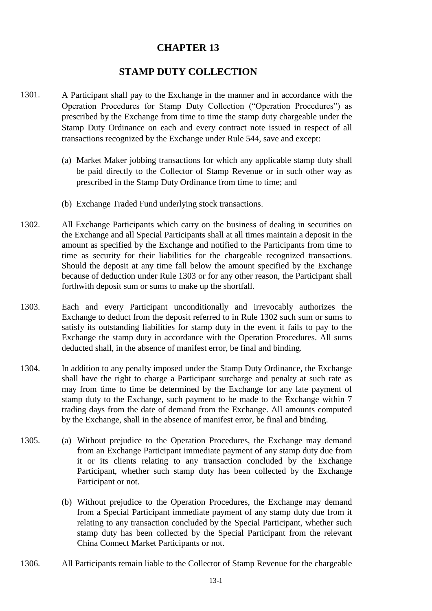## **CHAPTER 13**

## **STAMP DUTY COLLECTION**

- 1301. A Participant shall pay to the Exchange in the manner and in accordance with the Operation Procedures for Stamp Duty Collection ("Operation Procedures") as prescribed by the Exchange from time to time the stamp duty chargeable under the Stamp Duty Ordinance on each and every contract note issued in respect of all transactions recognized by the Exchange under Rule 544, save and except:
	- (a) Market Maker jobbing transactions for which any applicable stamp duty shall be paid directly to the Collector of Stamp Revenue or in such other way as prescribed in the Stamp Duty Ordinance from time to time; and
	- (b) Exchange Traded Fund underlying stock transactions.
- 1302. All Exchange Participants which carry on the business of dealing in securities on the Exchange and all Special Participants shall at all times maintain a deposit in the amount as specified by the Exchange and notified to the Participants from time to time as security for their liabilities for the chargeable recognized transactions. Should the deposit at any time fall below the amount specified by the Exchange because of deduction under Rule 1303 or for any other reason, the Participant shall forthwith deposit sum or sums to make up the shortfall.
- 1303. Each and every Participant unconditionally and irrevocably authorizes the Exchange to deduct from the deposit referred to in Rule 1302 such sum or sums to satisfy its outstanding liabilities for stamp duty in the event it fails to pay to the Exchange the stamp duty in accordance with the Operation Procedures. All sums deducted shall, in the absence of manifest error, be final and binding.
- 1304. In addition to any penalty imposed under the Stamp Duty Ordinance, the Exchange shall have the right to charge a Participant surcharge and penalty at such rate as may from time to time be determined by the Exchange for any late payment of stamp duty to the Exchange, such payment to be made to the Exchange within 7 trading days from the date of demand from the Exchange. All amounts computed by the Exchange, shall in the absence of manifest error, be final and binding.
- 1305. (a) Without prejudice to the Operation Procedures, the Exchange may demand from an Exchange Participant immediate payment of any stamp duty due from it or its clients relating to any transaction concluded by the Exchange Participant, whether such stamp duty has been collected by the Exchange Participant or not.
	- (b) Without prejudice to the Operation Procedures, the Exchange may demand from a Special Participant immediate payment of any stamp duty due from it relating to any transaction concluded by the Special Participant, whether such stamp duty has been collected by the Special Participant from the relevant China Connect Market Participants or not.
- 1306. All Participants remain liable to the Collector of Stamp Revenue for the chargeable